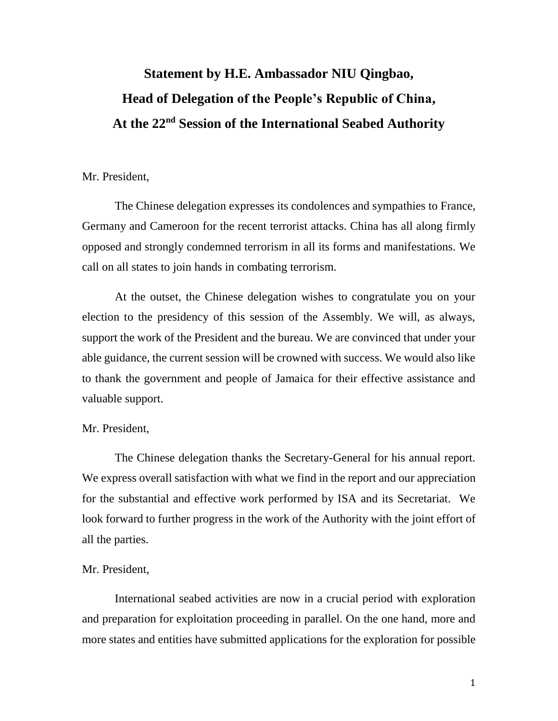# **Statement by H.E. Ambassador NIU Qingbao, Head of Delegation of the People's Republic of China, At the 22nd Session of the International Seabed Authority**

## Mr. President,

The Chinese delegation expresses its condolences and sympathies to France, Germany and Cameroon for the recent terrorist attacks. China has all along firmly opposed and strongly condemned terrorism in all its forms and manifestations. We call on all states to join hands in combating terrorism.

At the outset, the Chinese delegation wishes to congratulate you on your election to the presidency of this session of the Assembly. We will, as always, support the work of the President and the bureau. We are convinced that under your able guidance, the current session will be crowned with success. We would also like to thank the government and people of Jamaica for their effective assistance and valuable support.

#### Mr. President,

The Chinese delegation thanks the Secretary-General for his annual report. We express overall satisfaction with what we find in the report and our appreciation for the substantial and effective work performed by ISA and its Secretariat. We look forward to further progress in the work of the Authority with the joint effort of all the parties.

#### Mr. President,

International seabed activities are now in a crucial period with exploration and preparation for exploitation proceeding in parallel. On the one hand, more and more states and entities have submitted applications for the exploration for possible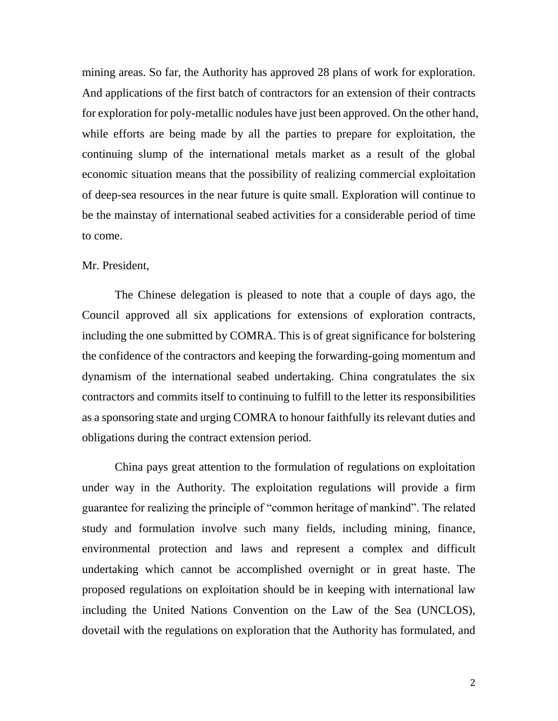mining areas. So far, the Authority has approved 28 plans of work for exploration. And applications of the first batch of contractors for an extension of their contracts for exploration for poly-metallic nodules have just been approved. On the other hand, while efforts are being made by all the parties to prepare for exploitation, the continuing slump of the international metals market as a result of the global economic situation means that the possibility of realizing commercial exploitation of deep-sea resources in the near future is quite small. Exploration will continue to be the mainstay of international seabed activities for a considerable period of time to come.

## Mr. President,

The Chinese delegation is pleased to note that a couple of days ago, the Council approved all six applications for extensions of exploration contracts, including the one submitted by COMRA. This is of great significance for bolstering the confidence of the contractors and keeping the forwarding-going momentum and dynamism of the international seabed undertaking. China congratulates the six contractors and commits itself to continuing to fulfill to the letter its responsibilities as a sponsoring state and urging COMRA to honour faithfully its relevant duties and obligations during the contract extension period.

China pays great attention to the formulation of regulations on exploitation under way in the Authority. The exploitation regulations will provide a firm guarantee for realizing the principle of "common heritage of mankind". The related study and formulation involve such many fields, including mining, finance, environmental protection and laws and represent a complex and difficult undertaking which cannot be accomplished overnight or in great haste. The proposed regulations on exploitation should be in keeping with international law including the United Nations Convention on the Law of the Sea (UNCLOS), dovetail with the regulations on exploration that the Authority has formulated, and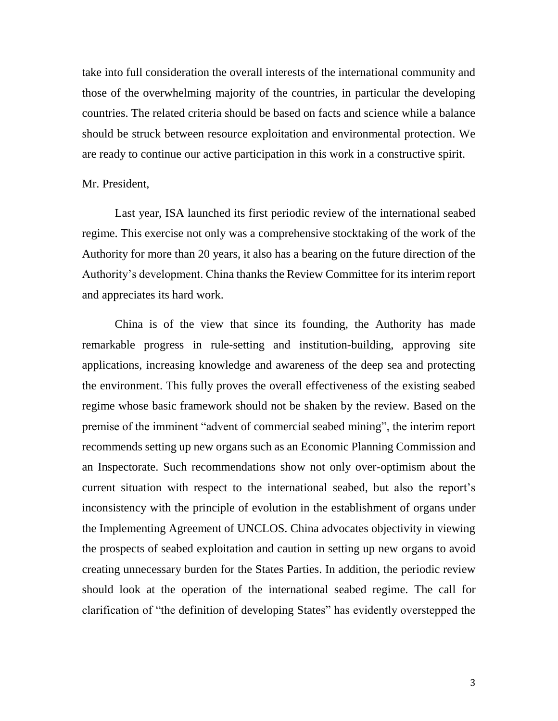take into full consideration the overall interests of the international community and those of the overwhelming majority of the countries, in particular the developing countries. The related criteria should be based on facts and science while a balance should be struck between resource exploitation and environmental protection. We are ready to continue our active participation in this work in a constructive spirit.

## Mr. President,

Last year, ISA launched its first periodic review of the international seabed regime. This exercise not only was a comprehensive stocktaking of the work of the Authority for more than 20 years, it also has a bearing on the future direction of the Authority's development. China thanks the Review Committee for its interim report and appreciates its hard work.

China is of the view that since its founding, the Authority has made remarkable progress in rule-setting and institution-building, approving site applications, increasing knowledge and awareness of the deep sea and protecting the environment. This fully proves the overall effectiveness of the existing seabed regime whose basic framework should not be shaken by the review. Based on the premise of the imminent "advent of commercial seabed mining", the interim report recommends setting up new organs such as an Economic Planning Commission and an Inspectorate. Such recommendations show not only over-optimism about the current situation with respect to the international seabed, but also the report's inconsistency with the principle of evolution in the establishment of organs under the Implementing Agreement of UNCLOS. China advocates objectivity in viewing the prospects of seabed exploitation and caution in setting up new organs to avoid creating unnecessary burden for the States Parties. In addition, the periodic review should look at the operation of the international seabed regime. The call for clarification of "the definition of developing States" has evidently overstepped the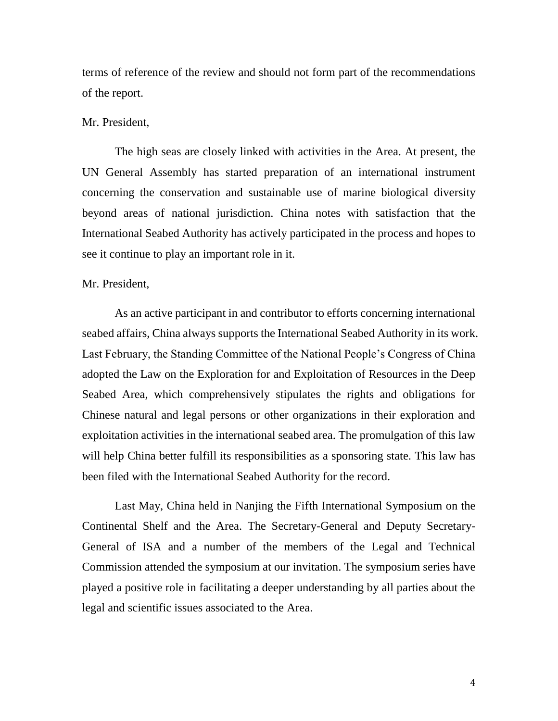terms of reference of the review and should not form part of the recommendations of the report.

## Mr. President,

The high seas are closely linked with activities in the Area. At present, the UN General Assembly has started preparation of an international instrument concerning the conservation and sustainable use of marine biological diversity beyond areas of national jurisdiction. China notes with satisfaction that the International Seabed Authority has actively participated in the process and hopes to see it continue to play an important role in it.

#### Mr. President,

As an active participant in and contributor to efforts concerning international seabed affairs, China always supports the International Seabed Authority in its work. Last February, the Standing Committee of the National People's Congress of China adopted the Law on the Exploration for and Exploitation of Resources in the Deep Seabed Area, which comprehensively stipulates the rights and obligations for Chinese natural and legal persons or other organizations in their exploration and exploitation activities in the international seabed area. The promulgation of this law will help China better fulfill its responsibilities as a sponsoring state. This law has been filed with the International Seabed Authority for the record.

Last May, China held in Nanjing the Fifth International Symposium on the Continental Shelf and the Area. The Secretary-General and Deputy Secretary-General of ISA and a number of the members of the Legal and Technical Commission attended the symposium at our invitation. The symposium series have played a positive role in facilitating a deeper understanding by all parties about the legal and scientific issues associated to the Area.